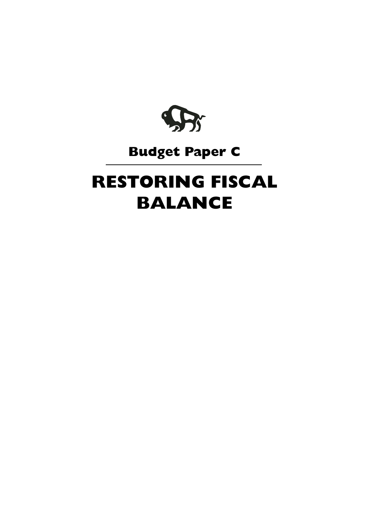

## **Budget Paper C**

# **RESTORING FISCAL BALANCE**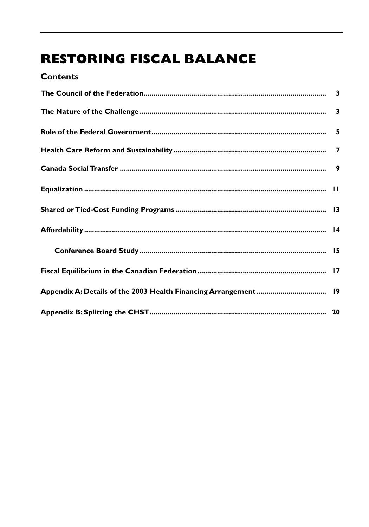## **RESTORING FISCAL BALANCE**

| <b>Contents</b> |  |
|-----------------|--|
|                 |  |
|                 |  |
|                 |  |
|                 |  |
|                 |  |
|                 |  |
|                 |  |
|                 |  |
|                 |  |
|                 |  |
|                 |  |
|                 |  |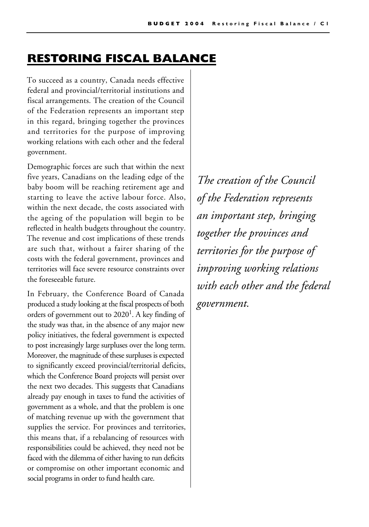## **RESTORING FISCAL BALANCE**

To succeed as a country, Canada needs effective federal and provincial/territorial institutions and fiscal arrangements. The creation of the Council of the Federation represents an important step in this regard, bringing together the provinces and territories for the purpose of improving working relations with each other and the federal government.

Demographic forces are such that within the next five years, Canadians on the leading edge of the baby boom will be reaching retirement age and starting to leave the active labour force. Also, within the next decade, the costs associated with the ageing of the population will begin to be reflected in health budgets throughout the country. The revenue and cost implications of these trends are such that, without a fairer sharing of the costs with the federal government, provinces and territories will face severe resource constraints over the foreseeable future.

In February, the Conference Board of Canada produced a study looking at the fiscal prospects of both orders of government out to  $2020<sup>1</sup>$ . A key finding of the study was that, in the absence of any major new policy initiatives, the federal government is expected to post increasingly large surpluses over the long term. Moreover, the magnitude of these surpluses is expected to significantly exceed provincial/territorial deficits, which the Conference Board projects will persist over the next two decades. This suggests that Canadians already pay enough in taxes to fund the activities of government as a whole, and that the problem is one of matching revenue up with the government that supplies the service. For provinces and territories, this means that, if a rebalancing of resources with responsibilities could be achieved, they need not be faced with the dilemma of either having to run deficits or compromise on other important economic and social programs in order to fund health care.

*The creation of the Council of the Federation represents an important step, bringing together the provinces and territories for the purpose of improving working relations with each other and the federal government.*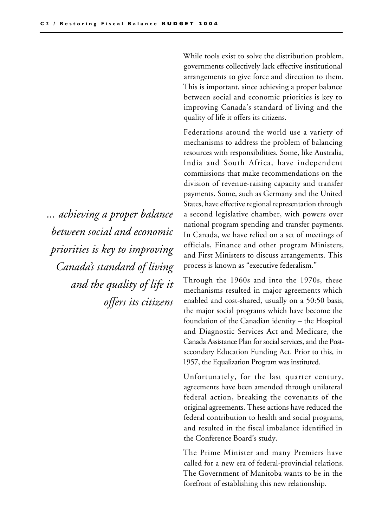*... achieving a proper balance between social and economic priorities is key to improving Canada's standard of living and the quality of life it offers its citizens*

While tools exist to solve the distribution problem, governments collectively lack effective institutional arrangements to give force and direction to them. This is important, since achieving a proper balance between social and economic priorities is key to improving Canada's standard of living and the quality of life it offers its citizens.

Federations around the world use a variety of mechanisms to address the problem of balancing resources with responsibilities. Some, like Australia, India and South Africa, have independent commissions that make recommendations on the division of revenue-raising capacity and transfer payments. Some, such as Germany and the United States, have effective regional representation through a second legislative chamber, with powers over national program spending and transfer payments. In Canada, we have relied on a set of meetings of officials, Finance and other program Ministers, and First Ministers to discuss arrangements. This process is known as "executive federalism."

Through the 1960s and into the 1970s, these mechanisms resulted in major agreements which enabled and cost-shared, usually on a 50:50 basis, the major social programs which have become the foundation of the Canadian identity – the Hospital and Diagnostic Services Act and Medicare, the Canada Assistance Plan for social services, and the Postsecondary Education Funding Act. Prior to this, in 1957, the Equalization Program was instituted.

Unfortunately, for the last quarter century, agreements have been amended through unilateral federal action, breaking the covenants of the original agreements. These actions have reduced the federal contribution to health and social programs, and resulted in the fiscal imbalance identified in the Conference Board's study.

The Prime Minister and many Premiers have called for a new era of federal-provincial relations. The Government of Manitoba wants to be in the forefront of establishing this new relationship.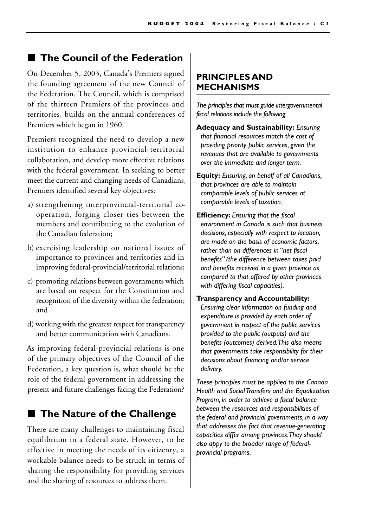#### ■ **The Council of the Federation**

On December 5, 2003, Canada's Premiers signed the founding agreement of the new Council of the Federation. The Council, which is comprised of the thirteen Premiers of the provinces and territories, builds on the annual conferences of Premiers which began in 1960.

Premiers recognized the need to develop a new institution to enhance provincial-territorial collaboration, and develop more effective relations with the federal government. In seeking to better meet the current and changing needs of Canadians, Premiers identified several key objectives:

- a) strengthening interprovincial-territorial cooperation, forging closer ties between the members and contributing to the evolution of the Canadian federation;
- b) exercising leadership on national issues of importance to provinces and territories and in improving federal-provincial/territorial relations;
- c) promoting relations between governments which are based on respect for the Constitution and recognition of the diversity within the federation; and
- d) working with the greatest respect for transparency and better communication with Canadians.

As improving federal-provincial relations is one of the primary objectives of the Council of the Federation, a key question is, what should be the role of the federal government in addressing the present and future challenges facing the Federation?

#### ■ The Nature of the Challenge

There are many challenges to maintaining fiscal equilibrium in a federal state. However, to be effective in meeting the needs of its citizenry, a workable balance needs to be struck in terms of sharing the responsibility for providing services and the sharing of resources to address them.

#### **PRINCIPLES AND MECHANISMS**

*The principles that must guide intergovernmental fiscal relations include the following.*

- **Adequacy and Sustainability:** *Ensuring that financial resources match the cost of providing priority public services, given the revenues that are available to governments over the immediate and longer term.*
- **Equity:** *Ensuring, on behalf of all Canadians, that provinces are able to maintain comparable levels of public services at comparable levels of taxation.*
- **Efficiency:** *Ensuring that the fiscal environment in Canada is such that business decisions, especially with respect to location, are made on the basis of economic factors, rather than on differences in "net fiscal benefits" (the difference between taxes paid and benefits received in a given province as compared to that offered by other provinces with differing fiscal capacities).*
- **Transparency and Accountability:** *Ensuring clear information on funding and expenditure is provided by each order of government in respect of the public services provided to the public (outputs) and the benefits (outcomes) derived. This also means that governments take responsibility for their decisions about financing and/or service delivery.*

*These principles must be applied to the Canada Health and Social Transfers and the Equalization Program, in order to achieve a fiscal balance between the resources and responsibilities of the federal and provincial governments, in a way that addresses the fact that revenue-generating capacities differ among provinces. They should also appy to the broader range of federalprovincial programs.*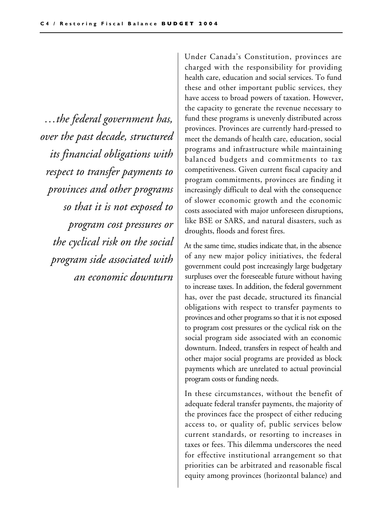*…the federal government has, over the past decade, structured its financial obligations with respect to transfer payments to provinces and other programs so that it is not exposed to program cost pressures or the cyclical risk on the social program side associated with an economic downturn*

Under Canada's Constitution, provinces are charged with the responsibility for providing health care, education and social services. To fund these and other important public services, they have access to broad powers of taxation. However, the capacity to generate the revenue necessary to fund these programs is unevenly distributed across provinces. Provinces are currently hard-pressed to meet the demands of health care, education, social programs and infrastructure while maintaining balanced budgets and commitments to tax competitiveness. Given current fiscal capacity and program commitments, provinces are finding it increasingly difficult to deal with the consequence of slower economic growth and the economic costs associated with major unforeseen disruptions, like BSE or SARS, and natural disasters, such as droughts, floods and forest fires.

At the same time, studies indicate that, in the absence of any new major policy initiatives, the federal government could post increasingly large budgetary surpluses over the foreseeable future without having to increase taxes. In addition, the federal government has, over the past decade, structured its financial obligations with respect to transfer payments to provinces and other programs so that it is not exposed to program cost pressures or the cyclical risk on the social program side associated with an economic downturn. Indeed, transfers in respect of health and other major social programs are provided as block payments which are unrelated to actual provincial program costs or funding needs.

In these circumstances, without the benefit of adequate federal transfer payments, the majority of the provinces face the prospect of either reducing access to, or quality of, public services below current standards, or resorting to increases in taxes or fees. This dilemma underscores the need for effective institutional arrangement so that priorities can be arbitrated and reasonable fiscal equity among provinces (horizontal balance) and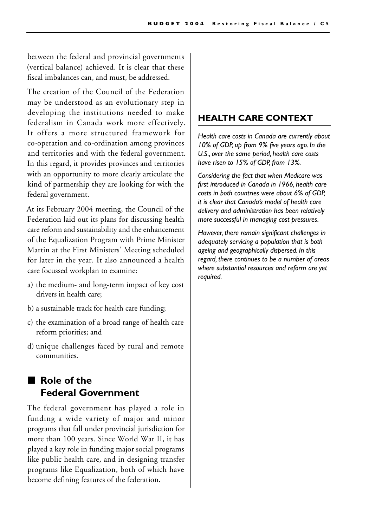between the federal and provincial governments (vertical balance) achieved. It is clear that these fiscal imbalances can, and must, be addressed.

The creation of the Council of the Federation may be understood as an evolutionary step in developing the institutions needed to make federalism in Canada work more effectively. It offers a more structured framework for co-operation and co-ordination among provinces and territories and with the federal government. In this regard, it provides provinces and territories with an opportunity to more clearly articulate the kind of partnership they are looking for with the federal government.

At its February 2004 meeting, the Council of the Federation laid out its plans for discussing health care reform and sustainability and the enhancement of the Equalization Program with Prime Minister Martin at the First Ministers' Meeting scheduled for later in the year. It also announced a health care focussed workplan to examine:

- a) the medium- and long-term impact of key cost drivers in health care;
- b) a sustainable track for health care funding;
- c) the examination of a broad range of health care reform priorities; and
- d) unique challenges faced by rural and remote communities.

## ■ **Role of the Federal Government**

The federal government has played a role in funding a wide variety of major and minor programs that fall under provincial jurisdiction for more than 100 years. Since World War II, it has played a key role in funding major social programs like public health care, and in designing transfer programs like Equalization, both of which have become defining features of the federation.

#### **HEALTH CARE CONTEXT**

*Health care costs in Canada are currently about 10% of GDP, up from 9% five years ago. In the U.S., over the same period, health care costs have risen to 15% of GDP, from 13%.* 

*Considering the fact that when Medicare was first introduced in Canada in 1966, health care costs in both countries were about 6% of GDP, it is clear that Canada's model of health care delivery and administration has been relatively more successful in managing cost pressures.* 

*However, there remain significant challenges in adequately servicing a population that is both ageing and geographically dispersed. In this regard, there continues to be a number of areas where substantial resources and reform are yet required.*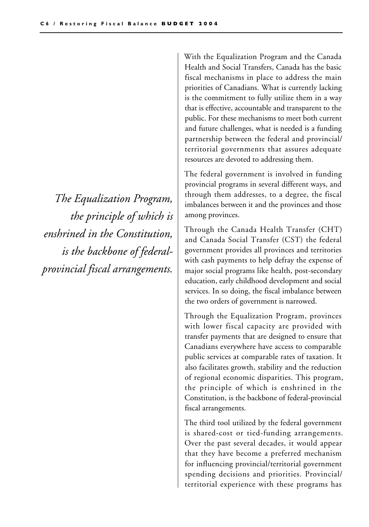*The Equalization Program, the principle of which is enshrined in the Constitution, is the backbone of federalprovincial fiscal arrangements.*

With the Equalization Program and the Canada Health and Social Transfers, Canada has the basic fiscal mechanisms in place to address the main priorities of Canadians. What is currently lacking is the commitment to fully utilize them in a way that is effective, accountable and transparent to the public. For these mechanisms to meet both current and future challenges, what is needed is a funding partnership between the federal and provincial/ territorial governments that assures adequate resources are devoted to addressing them.

The federal government is involved in funding provincial programs in several different ways, and through them addresses, to a degree, the fiscal imbalances between it and the provinces and those among provinces.

Through the Canada Health Transfer (CHT) and Canada Social Transfer (CST) the federal government provides all provinces and territories with cash payments to help defray the expense of major social programs like health, post-secondary education, early childhood development and social services. In so doing, the fiscal imbalance between the two orders of government is narrowed.

Through the Equalization Program, provinces with lower fiscal capacity are provided with transfer payments that are designed to ensure that Canadians everywhere have access to comparable public services at comparable rates of taxation. It also facilitates growth, stability and the reduction of regional economic disparities. This program, the principle of which is enshrined in the Constitution, is the backbone of federal-provincial fiscal arrangements.

The third tool utilized by the federal government is shared-cost or tied-funding arrangements. Over the past several decades, it would appear that they have become a preferred mechanism for influencing provincial/territorial government spending decisions and priorities. Provincial/ territorial experience with these programs has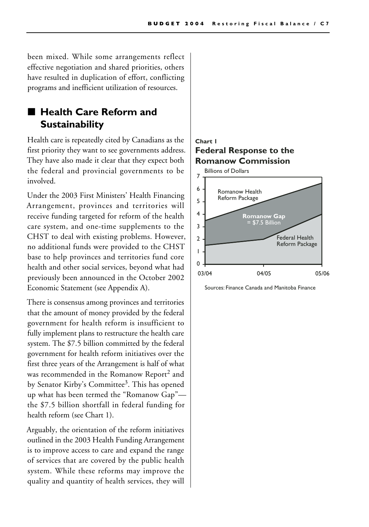been mixed. While some arrangements reflect effective negotiation and shared priorities, others have resulted in duplication of effort, conflicting programs and inefficient utilization of resources.

## ■ **Health Care Reform and Sustainability**

Health care is repeatedly cited by Canadians as the first priority they want to see governments address. They have also made it clear that they expect both the federal and provincial governments to be involved.

Under the 2003 First Ministers' Health Financing Arrangement, provinces and territories will receive funding targeted for reform of the health care system, and one-time supplements to the CHST to deal with existing problems. However, no additional funds were provided to the CHST base to help provinces and territories fund core health and other social services, beyond what had previously been announced in the October 2002 Economic Statement (see Appendix A).

There is consensus among provinces and territories that the amount of money provided by the federal government for health reform is insufficient to fully implement plans to restructure the health care system. The \$7.5 billion committed by the federal government for health reform initiatives over the first three years of the Arrangement is half of what was recommended in the Romanow Report<sup>2</sup> and by Senator Kirby's Committee<sup>3</sup>. This has opened up what has been termed the "Romanow Gap" the \$7.5 billion shortfall in federal funding for health reform (see Chart 1).

Arguably, the orientation of the reform initiatives outlined in the 2003 Health Funding Arrangement is to improve access to care and expand the range of services that are covered by the public health system. While these reforms may improve the quality and quantity of health services, they will

#### **Federal Response to the Romanow Commission Chart 1**



Sources: Finance Canada and Manitoba Finance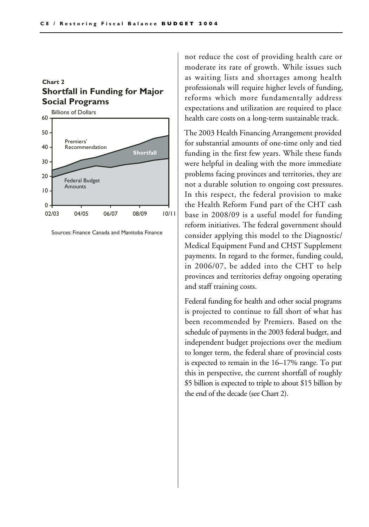**Shortfall in Funding for Major Social Programs Chart 2**



Sources: Finance Canada and Manitoba Finance

not reduce the cost of providing health care or moderate its rate of growth. While issues such as waiting lists and shortages among health professionals will require higher levels of funding, reforms which more fundamentally address expectations and utilization are required to place health care costs on a long-term sustainable track.

The 2003 Health Financing Arrangement provided for substantial amounts of one-time only and tied funding in the first few years. While these funds were helpful in dealing with the more immediate problems facing provinces and territories, they are not a durable solution to ongoing cost pressures. In this respect, the federal provision to make the Health Reform Fund part of the CHT cash base in 2008/09 is a useful model for funding reform initiatives. The federal government should consider applying this model to the Diagnostic/ Medical Equipment Fund and CHST Supplement payments. In regard to the former, funding could, in 2006/07, be added into the CHT to help provinces and territories defray ongoing operating and staff training costs.

Federal funding for health and other social programs is projected to continue to fall short of what has been recommended by Premiers. Based on the schedule of payments in the 2003 federal budget, and independent budget projections over the medium to longer term, the federal share of provincial costs is expected to remain in the 16–17% range. To put this in perspective, the current shortfall of roughly \$5 billion is expected to triple to about \$15 billion by the end of the decade (see Chart 2).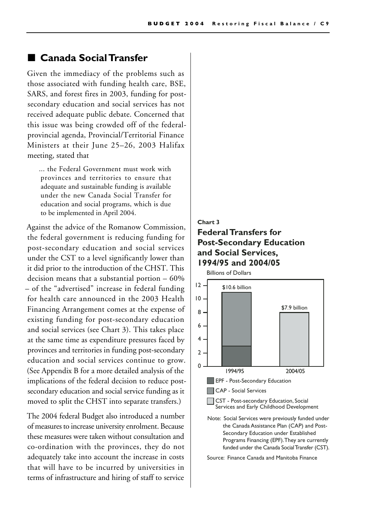#### ■ **Canada Social Transfer**

Given the immediacy of the problems such as those associated with funding health care, BSE, SARS, and forest fires in 2003, funding for postsecondary education and social services has not received adequate public debate. Concerned that this issue was being crowded off of the federalprovincial agenda, Provincial/Territorial Finance Ministers at their June 25–26, 2003 Halifax meeting, stated that

... the Federal Government must work with provinces and territories to ensure that adequate and sustainable funding is available under the new Canada Social Transfer for education and social programs, which is due to be implemented in April 2004.

Against the advice of the Romanow Commission, the federal government is reducing funding for post-secondary education and social services under the CST to a level significantly lower than it did prior to the introduction of the CHST. This decision means that a substantial portion – 60% – of the "advertised" increase in federal funding for health care announced in the 2003 Health Financing Arrangement comes at the expense of existing funding for post-secondary education and social services (see Chart 3). This takes place at the same time as expenditure pressures faced by provinces and territories in funding post-secondary education and social services continue to grow. (See Appendix B for a more detailed analysis of the implications of the federal decision to reduce postsecondary education and social service funding as it moved to split the CHST into separate transfers.)

The 2004 federal Budget also introduced a number of measures to increase university enrolment. Because these measures were taken without consultation and co-ordination with the provinces, they do not adequately take into account the increase in costs that will have to be incurred by universities in terms of infrastructure and hiring of staff to service

#### **Federal Transfers for Post-Secondary Education and Social Services, 1994/95 and 2004/05 Chart 3**

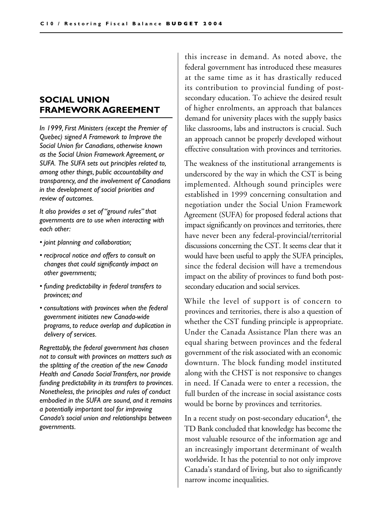#### **SOCIAL UNION FRAMEWORK AGREEMENT**

*In 1999, First Ministers (except the Premier of Quebec) signed A Framework to Improve the Social Union for Canadians, otherwise known as the Social Union Framework Agreement, or SUFA. The SUFA sets out principles related to, among other things, public accountability and transparency, and the involvement of Canadians in the development of social priorities and review of outcomes.*

*It also provides a set of "ground rules" that governments are to use when interacting with each other:*

- *joint planning and collaboration;*
- *reciprocal notice and offers to consult on changes that could significantly impact on other governments;*
- *funding predictability in federal transfers to provinces; and*
- *consultations with provinces when the federal government initiates new Canada-wide programs, to reduce overlap and duplication in delivery of services.*

*Regrettably, the federal government has chosen not to consult with provinces on matters such as the splitting of the creation of the new Canada Health and Canada Social Transfers, nor provide funding predictability in its transfers to provinces. Nonetheless, the principles and rules of conduct embodied in the SUFA are sound, and it remains a potentially important tool for improving Canada's social union and relationships between governments.*

this increase in demand. As noted above, the federal government has introduced these measures at the same time as it has drastically reduced its contribution to provincial funding of postsecondary education. To achieve the desired result of higher enrolments, an approach that balances demand for university places with the supply basics like classrooms, labs and instructors is crucial. Such an approach cannot be properly developed without effective consultation with provinces and territories.

The weakness of the institutional arrangements is underscored by the way in which the CST is being implemented. Although sound principles were established in 1999 concerning consultation and negotiation under the Social Union Framework Agreement (SUFA) for proposed federal actions that impact significantly on provinces and territories, there have never been any federal-provincial/territorial discussions concerning the CST. It seems clear that it would have been useful to apply the SUFA principles, since the federal decision will have a tremendous impact on the ability of provinces to fund both postsecondary education and social services.

While the level of support is of concern to provinces and territories, there is also a question of whether the CST funding principle is appropriate. Under the Canada Assistance Plan there was an equal sharing between provinces and the federal government of the risk associated with an economic downturn. The block funding model instituted along with the CHST is not responsive to changes in need. If Canada were to enter a recession, the full burden of the increase in social assistance costs would be borne by provinces and territories.

In a recent study on post-secondary education<sup>4</sup>, the TD Bank concluded that knowledge has become the most valuable resource of the information age and an increasingly important determinant of wealth worldwide. It has the potential to not only improve Canada's standard of living, but also to significantly narrow income inequalities.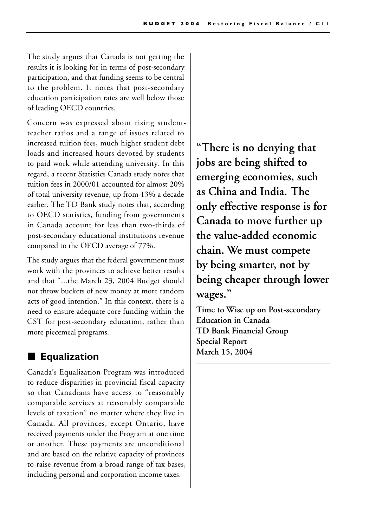The study argues that Canada is not getting the results it is looking for in terms of post-secondary participation, and that funding seems to be central to the problem. It notes that post-secondary education participation rates are well below those of leading OECD countries.

Concern was expressed about rising studentteacher ratios and a range of issues related to increased tuition fees, much higher student debt loads and increased hours devoted by students to paid work while attending university. In this regard, a recent Statistics Canada study notes that tuition fees in 2000/01 accounted for almost 20% of total university revenue, up from 13% a decade earlier. The TD Bank study notes that, according to OECD statistics, funding from governments in Canada account for less than two-thirds of post-secondary educational institutions revenue compared to the OECD average of 77%.

The study argues that the federal government must work with the provinces to achieve better results and that "...the March 23, 2004 Budget should not throw buckets of new money at more random acts of good intention." In this context, there is a need to ensure adequate core funding within the CST for post-secondary education, rather than more piecemeal programs.

## **Equalization**

Canada's Equalization Program was introduced to reduce disparities in provincial fiscal capacity so that Canadians have access to "reasonably comparable services at reasonably comparable levels of taxation" no matter where they live in Canada. All provinces, except Ontario, have received payments under the Program at one time or another. These payments are unconditional and are based on the relative capacity of provinces to raise revenue from a broad range of tax bases, including personal and corporation income taxes.

**"There is no denying that jobs are being shifted to emerging economies, such as China and India. The only effective response is for Canada to move further up the value-added economic chain. We must compete by being smarter, not by being cheaper through lower wages."**

**Time to Wise up on Post-secondary Education in Canada TD Bank Financial Group Special Report March 15, 2004**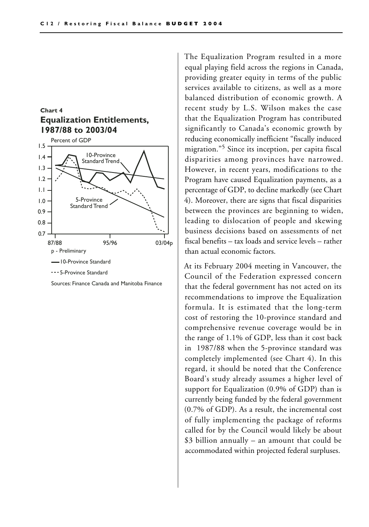



Sources: Finance Canada and Manitoba Finance

The Equalization Program resulted in a more equal playing field across the regions in Canada, providing greater equity in terms of the public services available to citizens, as well as a more balanced distribution of economic growth. A recent study by L.S. Wilson makes the case that the Equalization Program has contributed significantly to Canada's economic growth by reducing economically inefficient "fiscally induced migration."5 Since its inception, per capita fiscal disparities among provinces have narrowed. However, in recent years, modifications to the Program have caused Equalization payments, as a percentage of GDP, to decline markedly (see Chart 4). Moreover, there are signs that fiscal disparities between the provinces are beginning to widen, leading to dislocation of people and skewing business decisions based on assessments of net fiscal benefits – tax loads and service levels – rather than actual economic factors.

At its February 2004 meeting in Vancouver, the Council of the Federation expressed concern that the federal government has not acted on its recommendations to improve the Equalization formula. It is estimated that the long-term cost of restoring the 10-province standard and comprehensive revenue coverage would be in the range of 1.1% of GDP, less than it cost back in 1987/88 when the 5-province standard was completely implemented (see Chart 4). In this regard, it should be noted that the Conference Board's study already assumes a higher level of support for Equalization (0.9% of GDP) than is currently being funded by the federal government (0.7% of GDP). As a result, the incremental cost of fully implementing the package of reforms called for by the Council would likely be about \$3 billion annually – an amount that could be accommodated within projected federal surpluses.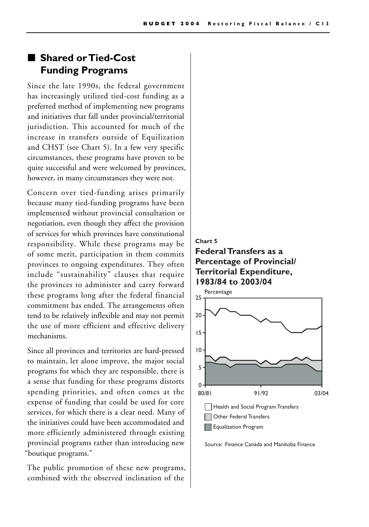#### ■ **Shared or Tied-Cost Funding Programs**

Since the late 1990s, the federal government has increasingly utilized tied-cost funding as a preferred method of implementing new programs and initiatives that fall under provincial/territorial jurisdiction. This accounted for much of the increase in transfers outside of Equilization and CHST (see Chart 5). In a few very specific circumstances, these programs have proven to be quite successful and were welcomed by provinces, however, in many circumstances they were not.

Concern over tied-funding arises primarily because many tied-funding programs have been implemented without provincial consultation or negotiation, even though they affect the provision of services for which provinces have constitutional responsibility. While these programs may be of some merit, participation in them commits provinces to ongoing expenditures. They often include "sustainability" clauses that require the provinces to administer and carry forward these programs long after the federal financial commitment has ended. The arrangements often tend to be relatively inflexible and may not permit the use of more efficient and effective delivery mechanisms.

Since all provinces and territories are hard-pressed to maintain, let alone improve, the major social programs for which they are responsible, there is a sense that funding for these programs distorts spending priorities, and often comes at the expense of funding that could be used for core services, for which there is a clear need. Many of the initiatives could have been accommodated and more efficiently administered through existing provincial programs rather than introducing new "boutique programs."

The public promotion of these new programs, combined with the observed inclination of the

#### **Federal Transfers as a Percentage of Provincial/ Territorial Expenditure, 1983/84 to 2003/04 Chart 5**



Source: Finance Canada and Manitoba Finance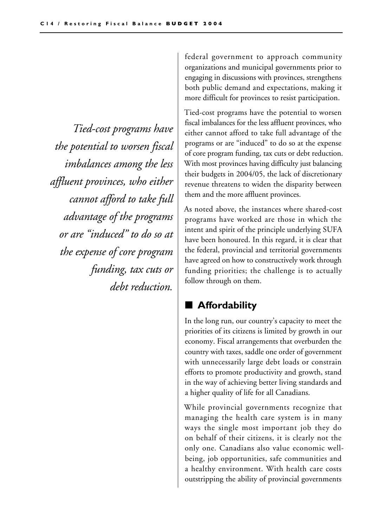*Tied-cost programs have the potential to worsen fiscal imbalances among the less affluent provinces, who either cannot afford to take full advantage of the programs or are "induced" to do so at the expense of core program funding, tax cuts or debt reduction.* 

federal government to approach community organizations and municipal governments prior to engaging in discussions with provinces, strengthens both public demand and expectations, making it more difficult for provinces to resist participation.

Tied-cost programs have the potential to worsen fiscal imbalances for the less affluent provinces, who either cannot afford to take full advantage of the programs or are "induced" to do so at the expense of core program funding, tax cuts or debt reduction. With most provinces having difficulty just balancing their budgets in 2004/05, the lack of discretionary revenue threatens to widen the disparity between them and the more affluent provinces.

As noted above, the instances where shared-cost programs have worked are those in which the intent and spirit of the principle underlying SUFA have been honoured. In this regard, it is clear that the federal, provincial and territorial governments have agreed on how to constructively work through funding priorities; the challenge is to actually follow through on them.

## ■ **Affordability**

In the long run, our country's capacity to meet the priorities of its citizens is limited by growth in our economy. Fiscal arrangements that overburden the country with taxes, saddle one order of government with unnecessarily large debt loads or constrain efforts to promote productivity and growth, stand in the way of achieving better living standards and a higher quality of life for all Canadians.

While provincial governments recognize that managing the health care system is in many ways the single most important job they do on behalf of their citizens, it is clearly not the only one. Canadians also value economic wellbeing, job opportunities, safe communities and a healthy environment. With health care costs outstripping the ability of provincial governments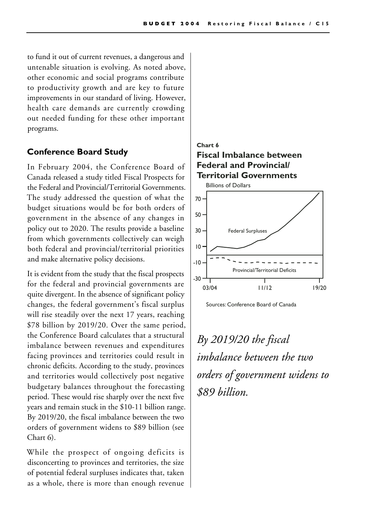to fund it out of current revenues, a dangerous and untenable situation is evolving. As noted above, other economic and social programs contribute to productivity growth and are key to future improvements in our standard of living. However, health care demands are currently crowding out needed funding for these other important programs.

#### **Conference Board Study**

In February 2004, the Conference Board of Canada released a study titled Fiscal Prospects for the Federal and Provincial/Territorial Governments. The study addressed the question of what the budget situations would be for both orders of government in the absence of any changes in policy out to 2020. The results provide a baseline from which governments collectively can weigh both federal and provincial/territorial priorities and make alternative policy decisions.

It is evident from the study that the fiscal prospects for the federal and provincial governments are quite divergent. In the absence of significant policy changes, the federal government's fiscal surplus will rise steadily over the next 17 years, reaching \$78 billion by 2019/20. Over the same period, the Conference Board calculates that a structural imbalance between revenues and expenditures facing provinces and territories could result in chronic deficits. According to the study, provinces and territories would collectively post negative budgetary balances throughout the forecasting period. These would rise sharply over the next five years and remain stuck in the \$10-11 billion range. By 2019/20, the fiscal imbalance between the two orders of government widens to \$89 billion (see Chart 6).

While the prospect of ongoing deficits is disconcerting to provinces and territories, the size of potential federal surpluses indicates that, taken as a whole, there is more than enough revenue

#### **Fiscal Imbalance between Federal and Provincial/ Territorial Governments Chart 6**





## *By 2019/20 the fiscal imbalance between the two orders of government widens to \$89 billion.*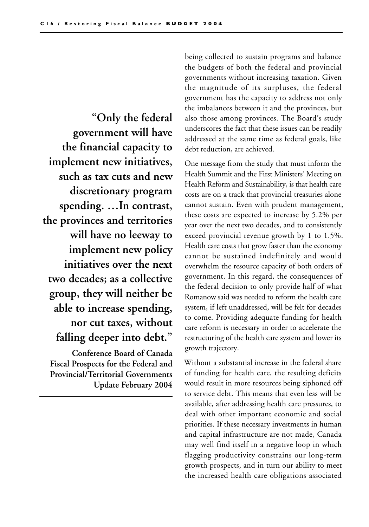**"Only the federal government will have the financial capacity to implement new initiatives, such as tax cuts and new discretionary program spending. …In contrast, the provinces and territories will have no leeway to implement new policy initiatives over the next two decades; as a collective group, they will neither be able to increase spending, nor cut taxes, without falling deeper into debt."**

**Conference Board of Canada Fiscal Prospects for the Federal and Provincial/Territorial Governments Update February 2004** being collected to sustain programs and balance the budgets of both the federal and provincial governments without increasing taxation. Given the magnitude of its surpluses, the federal government has the capacity to address not only the imbalances between it and the provinces, but also those among provinces. The Board's study underscores the fact that these issues can be readily addressed at the same time as federal goals, like debt reduction, are achieved.

One message from the study that must inform the Health Summit and the First Ministers' Meeting on Health Reform and Sustainability, is that health care costs are on a track that provincial treasuries alone cannot sustain. Even with prudent management, these costs are expected to increase by 5.2% per year over the next two decades, and to consistently exceed provincial revenue growth by 1 to 1.5%. Health care costs that grow faster than the economy cannot be sustained indefinitely and would overwhelm the resource capacity of both orders of government. In this regard, the consequences of the federal decision to only provide half of what Romanow said was needed to reform the health care system, if left unaddressed, will be felt for decades to come. Providing adequate funding for health care reform is necessary in order to accelerate the restructuring of the health care system and lower its growth trajectory.

Without a substantial increase in the federal share of funding for health care, the resulting deficits would result in more resources being siphoned off to service debt. This means that even less will be available, after addressing health care pressures, to deal with other important economic and social priorities. If these necessary investments in human and capital infrastructure are not made, Canada may well find itself in a negative loop in which flagging productivity constrains our long-term growth prospects, and in turn our ability to meet the increased health care obligations associated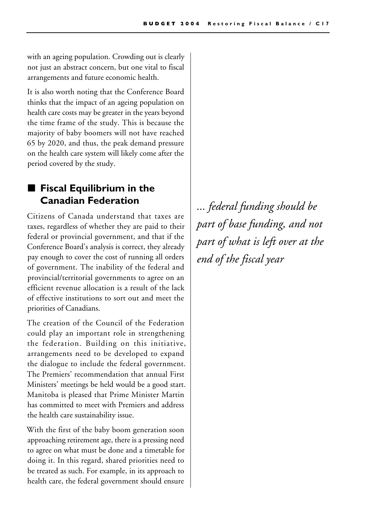with an ageing population. Crowding out is clearly not just an abstract concern, but one vital to fiscal arrangements and future economic health.

It is also worth noting that the Conference Board thinks that the impact of an ageing population on health care costs may be greater in the years beyond the time frame of the study. This is because the majority of baby boomers will not have reached 65 by 2020, and thus, the peak demand pressure on the health care system will likely come after the period covered by the study.

## ■ Fiscal Equilibrium in the **Canadian Federation**

Citizens of Canada understand that taxes are taxes, regardless of whether they are paid to their federal or provincial government, and that if the Conference Board's analysis is correct, they already pay enough to cover the cost of running all orders of government. The inability of the federal and provincial/territorial governments to agree on an efficient revenue allocation is a result of the lack of effective institutions to sort out and meet the priorities of Canadians.

The creation of the Council of the Federation could play an important role in strengthening the federation. Building on this initiative, arrangements need to be developed to expand the dialogue to include the federal government. The Premiers' recommendation that annual First Ministers' meetings be held would be a good start. Manitoba is pleased that Prime Minister Martin has committed to meet with Premiers and address the health care sustainability issue.

With the first of the baby boom generation soon approaching retirement age, there is a pressing need to agree on what must be done and a timetable for doing it. In this regard, shared priorities need to be treated as such. For example, in its approach to health care, the federal government should ensure

*... federal funding should be part of base funding, and not part of what is left over at the end of the fiscal year*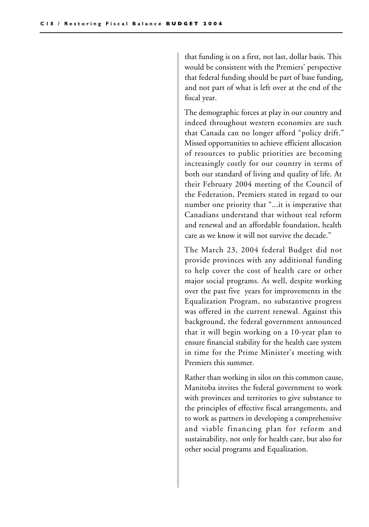that funding is on a first, not last, dollar basis. This would be consistent with the Premiers' perspective that federal funding should be part of base funding, and not part of what is left over at the end of the fiscal year.

The demographic forces at play in our country and indeed throughout western economies are such that Canada can no longer afford "policy drift." Missed opportunities to achieve efficient allocation of resources to public priorities are becoming increasingly costly for our country in terms of both our standard of living and quality of life. At their February 2004 meeting of the Council of the Federation, Premiers stated in regard to our number one priority that "...it is imperative that Canadians understand that without real reform and renewal and an affordable foundation, health care as we know it will not survive the decade."

The March 23, 2004 federal Budget did not provide provinces with any additional funding to help cover the cost of health care or other major social programs. As well, despite working over the past five years for improvements in the Equalization Program, no substantive progress was offered in the current renewal. Against this background, the federal government announced that it will begin working on a 10-year plan to ensure financial stability for the health care system in time for the Prime Minister's meeting with Premiers this summer.

Rather than working in silos on this common cause, Manitoba invites the federal government to work with provinces and territories to give substance to the principles of effective fiscal arrangements, and to work as partners in developing a comprehensive and viable financing plan for reform and sustainability, not only for health care, but also for other social programs and Equalization.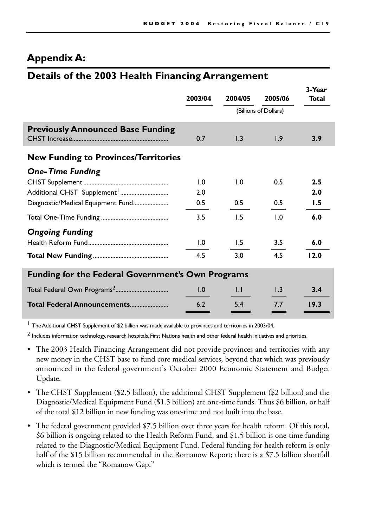### **Appendix A:**

### **Details of the 2003 Health Financing Arrangement**

|                                                          | 2003/04          | 2004/05               | 2005/06          | 3-Year<br>Total |  |  |  |  |
|----------------------------------------------------------|------------------|-----------------------|------------------|-----------------|--|--|--|--|
|                                                          |                  | (Billions of Dollars) |                  |                 |  |  |  |  |
| <b>Previously Announced Base Funding</b>                 | 0.7              | $\overline{1.3}$      | 1.9              | 3.9             |  |  |  |  |
| <b>New Funding to Provinces/Territories</b>              |                  |                       |                  |                 |  |  |  |  |
| <b>One-Time Funding</b>                                  |                  |                       |                  |                 |  |  |  |  |
|                                                          | $\overline{1.0}$ | 1.0                   | 0.5              | 2.5             |  |  |  |  |
|                                                          | 2.0              |                       |                  | 2.0             |  |  |  |  |
| Diagnostic/Medical Equipment Fund                        | 0.5              | 0.5                   | 0.5              | 1.5             |  |  |  |  |
|                                                          | 3.5              | 1.5                   | 1.0              | 6.0             |  |  |  |  |
| <b>Ongoing Funding</b>                                   |                  |                       |                  |                 |  |  |  |  |
|                                                          | 1.0              | 1.5                   | 3.5              | 6.0             |  |  |  |  |
|                                                          | 4.5              | 3.0                   | 4.5              | 12.0            |  |  |  |  |
| <b>Funding for the Federal Government's Own Programs</b> |                  |                       |                  |                 |  |  |  |  |
|                                                          | 1.0              | $\mathsf{L}$          | $\overline{1.3}$ | 3.4             |  |  |  |  |
| Total Federal Announcements                              | 6.2              | 5.4                   | 7.7              | 19.3            |  |  |  |  |

<sup>1</sup> The Additional CHST Supplement of \$2 billion was made available to provinces and territories in 2003/04.

 $<sup>2</sup>$  Includes information technology, research hospitals, First Nations health and other federal health initiatives and priorities.</sup>

- The 2003 Health Financing Arrangement did not provide provinces and territories with any new money in the CHST base to fund core medical services, beyond that which was previously announced in the federal government's October 2000 Economic Statement and Budget Update.
- The CHST Supplement (\$2.5 billion), the additional CHST Supplement (\$2 billion) and the Diagnostic/Medical Equipment Fund (\$1.5 billion) are one-time funds. Thus \$6 billion, or half of the total \$12 billion in new funding was one-time and not built into the base.
- The federal government provided \$7.5 billion over three years for health reform. Of this total, \$6 billion is ongoing related to the Health Reform Fund, and \$1.5 billion is one-time funding related to the Diagnostic/Medical Equipment Fund. Federal funding for health reform is only half of the \$15 billion recommended in the Romanow Report; there is a \$7.5 billion shortfall which is termed the "Romanow Gap."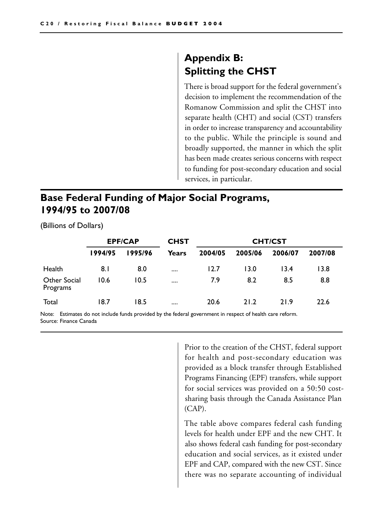## **Appendix B: Splitting the CHST**

There is broad support for the federal government's decision to implement the recommendation of the Romanow Commission and split the CHST into separate health (CHT) and social (CST) transfers in order to increase transparency and accountability to the public. While the principle is sound and broadly supported, the manner in which the split has been made creates serious concerns with respect to funding for post-secondary education and social services, in particular.

## **Base Federal Funding of Major Social Programs, 1994/95 to 2007/08**

(Billions of Dollars)

|                          | <b>EPF/CAP</b> |         | <b>CHST</b>  | <b>CHT/CST</b> |         |         |         |
|--------------------------|----------------|---------|--------------|----------------|---------|---------|---------|
|                          | 1994/95        | 1995/96 | <b>Years</b> | 2004/05        | 2005/06 | 2006/07 | 2007/08 |
| Health                   | 8. I           | 8.0     | $\cdots$     | 12.7           | 13.0    | 13.4    | 13.8    |
| Other Social<br>Programs | 10.6           | 10.5    | $\cdots$     | 7.9            | 8.2     | 8.5     | 8.8     |
| Total                    | 18.7           | 18.5    | $\cdots$     | 20.6           | 21.2    | 21.9    | 22.6    |

Note: Estimates do not include funds provided by the federal government in respect of health care reform. Source: Finance Canada

> Prior to the creation of the CHST, federal support for health and post-secondary education was provided as a block transfer through Established Programs Financing (EPF) transfers, while support for social services was provided on a 50:50 costsharing basis through the Canada Assistance Plan (CAP).

> The table above compares federal cash funding levels for health under EPF and the new CHT. It also shows federal cash funding for post-secondary education and social services, as it existed under EPF and CAP, compared with the new CST. Since there was no separate accounting of individual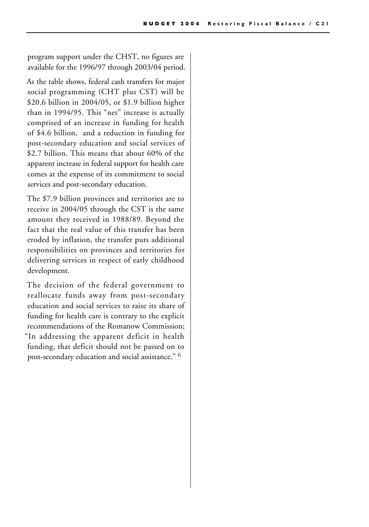program support under the CHST, no figures are available for the 1996/97 through 2003/04 period.

As the table shows, federal cash transfers for major social programming (CHT plus CST) will be \$20.6 billion in 2004/05, or \$1.9 billion higher than in 1994/95. This "net" increase is actually comprised of an increase in funding for health of \$4.6 billion, and a reduction in funding for post-secondary education and social services of \$2.7 billion. This means that about 60% of the apparent increase in federal support for health care comes at the expense of its commitment to social services and post-secondary education.

The \$7.9 billion provinces and territories are to receive in 2004/05 through the CST is the same amount they received in 1988/89. Beyond the fact that the real value of this transfer has been eroded by inflation, the transfer puts additional responsibilities on provinces and territories for delivering services in respect of early childhood development.

The decision of the federal government to reallocate funds away from post-secondary education and social services to raise its share of funding for health care is contrary to the explicit recommendations of the Romanow Commission; "In addressing the apparent deficit in health funding, that deficit should not be passed on to post-secondary education and social assistance." 6